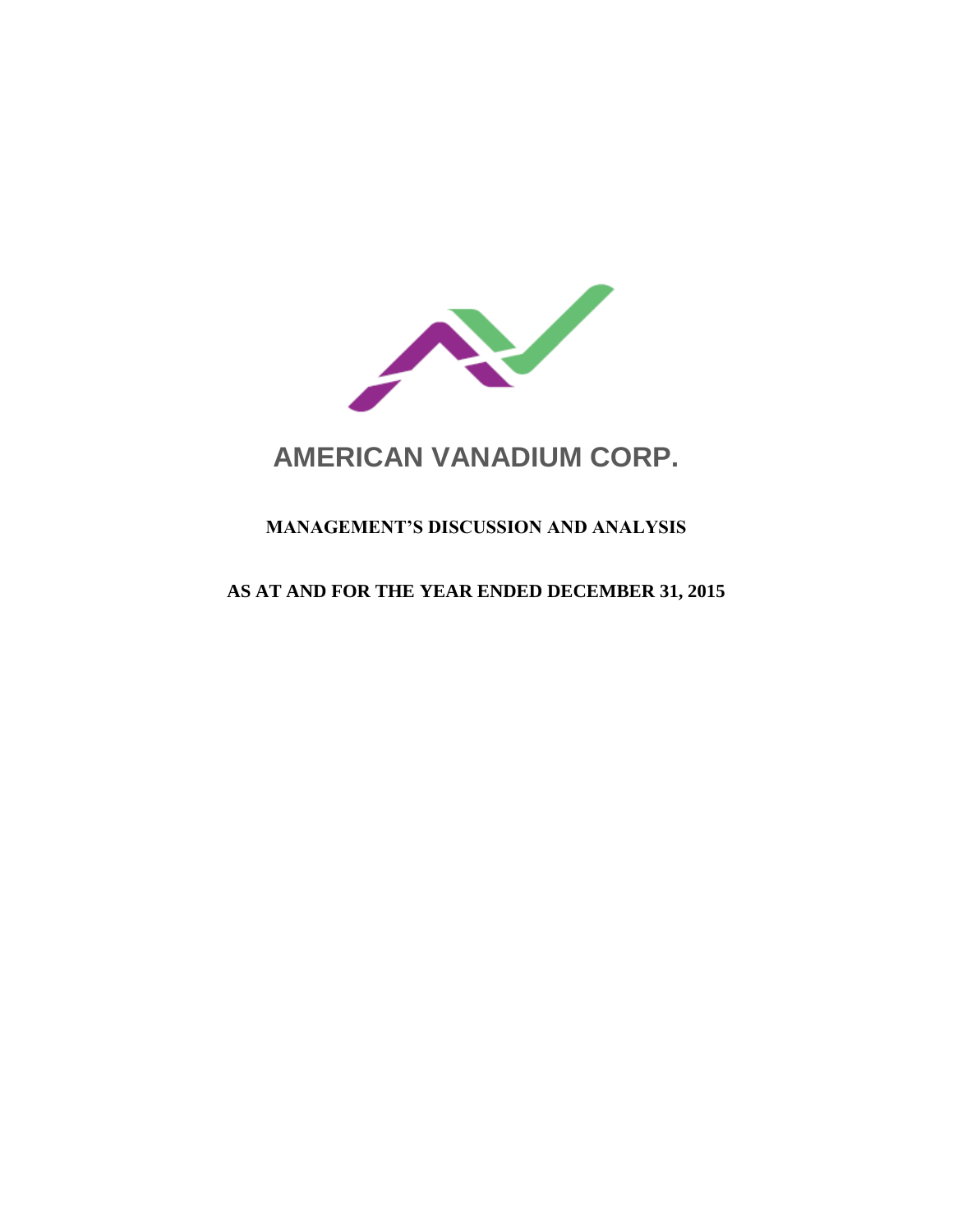

# **AMERICAN VANADIUM CORP.**

# **MANAGEMENT'S DISCUSSION AND ANALYSIS**

## **AS AT AND FOR THE YEAR ENDED DECEMBER 31, 2015**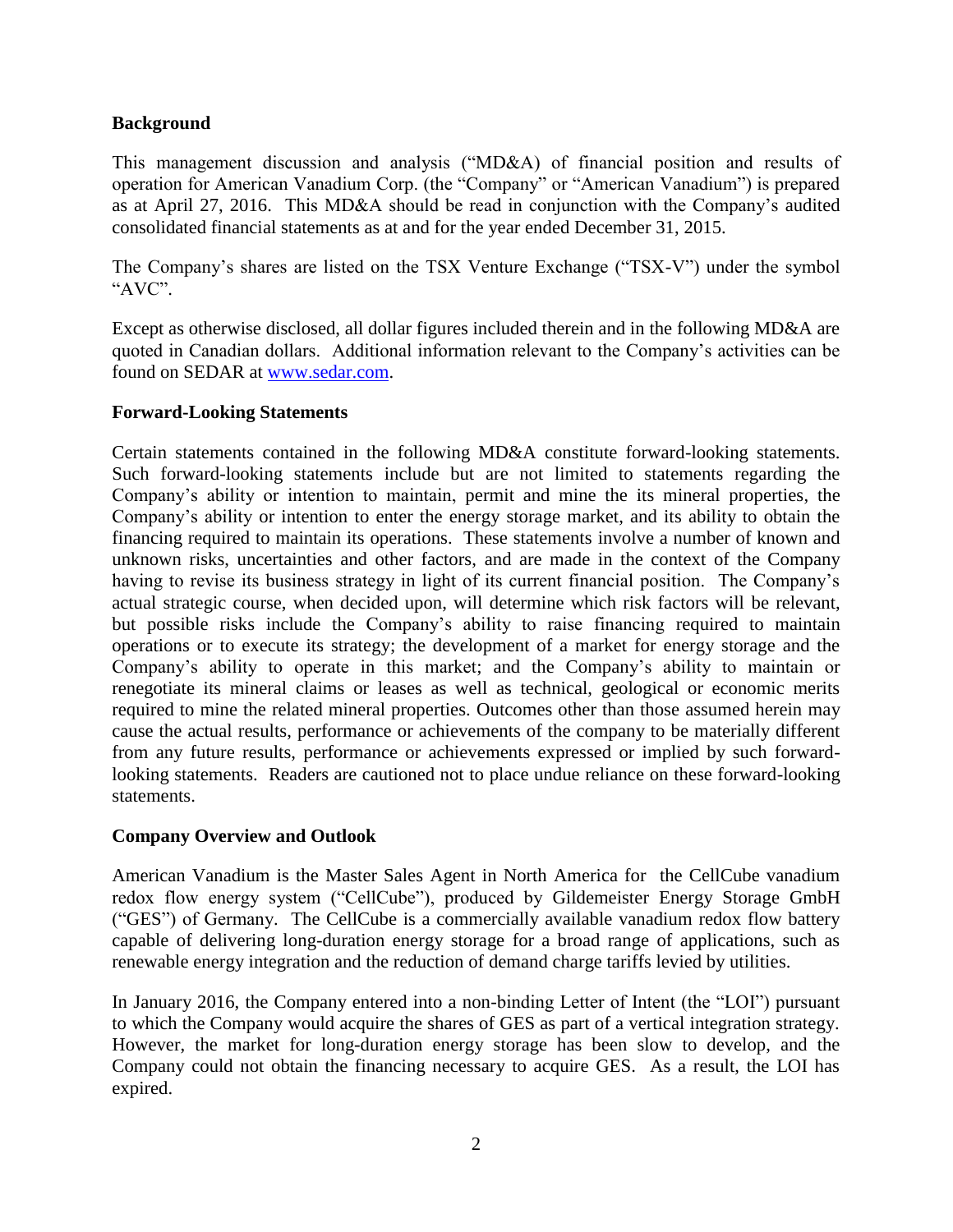#### **Background**

This management discussion and analysis ("MD&A) of financial position and results of operation for American Vanadium Corp. (the "Company" or "American Vanadium") is prepared as at April 27, 2016. This MD&A should be read in conjunction with the Company's audited consolidated financial statements as at and for the year ended December 31, 2015.

The Company's shares are listed on the TSX Venture Exchange ("TSX-V") under the symbol "AVC".

Except as otherwise disclosed, all dollar figures included therein and in the following MD&A are quoted in Canadian dollars. Additional information relevant to the Company's activities can be found on SEDAR at [www.sedar.com.](http://www.sedar.com/)

#### **Forward-Looking Statements**

Certain statements contained in the following MD&A constitute forward-looking statements. Such forward-looking statements include but are not limited to statements regarding the Company's ability or intention to maintain, permit and mine the its mineral properties, the Company's ability or intention to enter the energy storage market, and its ability to obtain the financing required to maintain its operations. These statements involve a number of known and unknown risks, uncertainties and other factors, and are made in the context of the Company having to revise its business strategy in light of its current financial position. The Company's actual strategic course, when decided upon, will determine which risk factors will be relevant, but possible risks include the Company's ability to raise financing required to maintain operations or to execute its strategy; the development of a market for energy storage and the Company's ability to operate in this market; and the Company's ability to maintain or renegotiate its mineral claims or leases as well as technical, geological or economic merits required to mine the related mineral properties. Outcomes other than those assumed herein may cause the actual results, performance or achievements of the company to be materially different from any future results, performance or achievements expressed or implied by such forwardlooking statements. Readers are cautioned not to place undue reliance on these forward-looking statements.

## **Company Overview and Outlook**

American Vanadium is the Master Sales Agent in North America for the CellCube vanadium redox flow energy system ("CellCube"), produced by Gildemeister Energy Storage GmbH ("GES") of Germany. The CellCube is a commercially available vanadium redox flow battery capable of delivering long-duration energy storage for a broad range of applications, such as renewable energy integration and the reduction of demand charge tariffs levied by utilities.

In January 2016, the Company entered into a non-binding Letter of Intent (the "LOI") pursuant to which the Company would acquire the shares of GES as part of a vertical integration strategy. However, the market for long-duration energy storage has been slow to develop, and the Company could not obtain the financing necessary to acquire GES. As a result, the LOI has expired.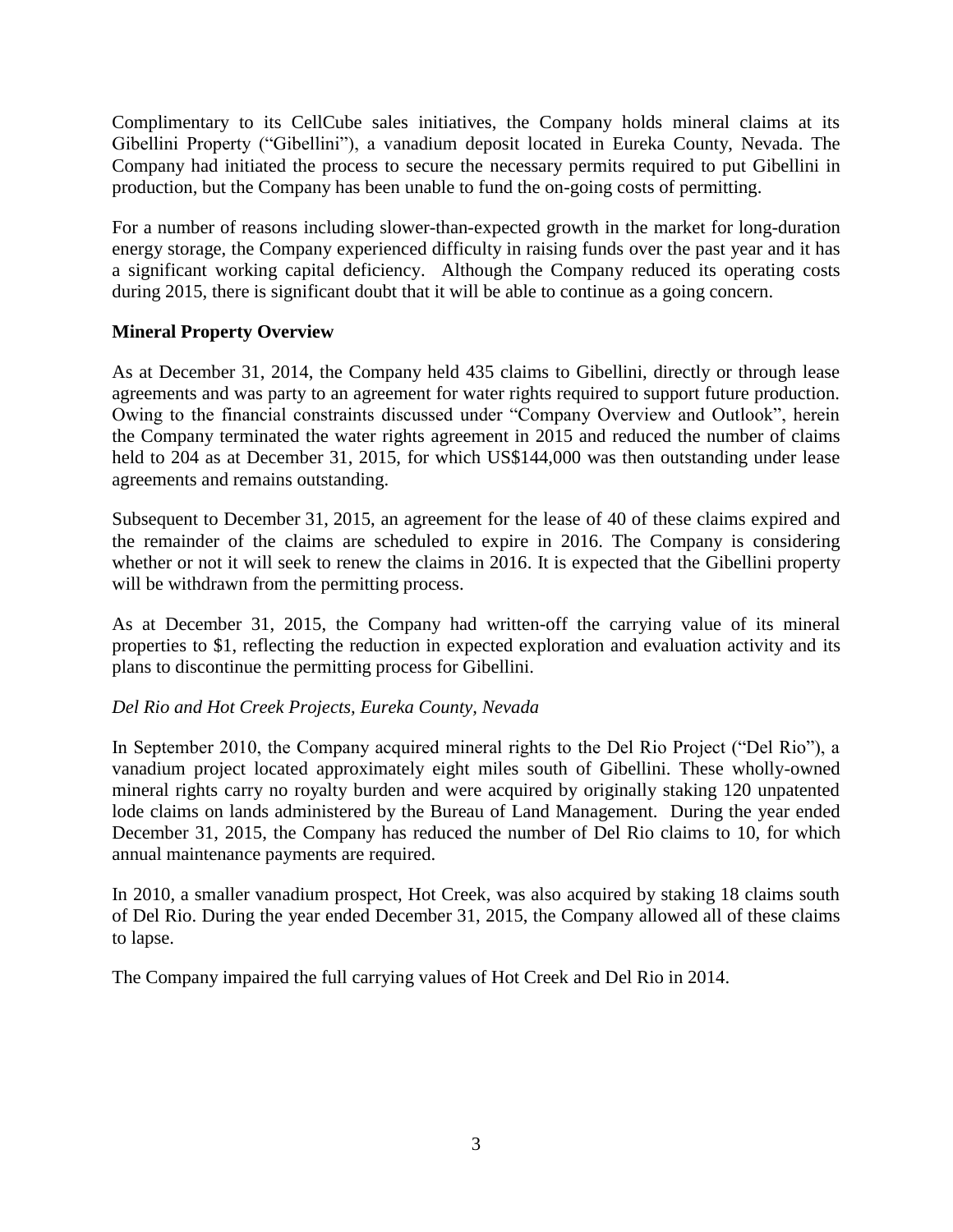Complimentary to its CellCube sales initiatives, the Company holds mineral claims at its Gibellini Property ("Gibellini"), a vanadium deposit located in Eureka County, Nevada. The Company had initiated the process to secure the necessary permits required to put Gibellini in production, but the Company has been unable to fund the on-going costs of permitting.

For a number of reasons including slower-than-expected growth in the market for long-duration energy storage, the Company experienced difficulty in raising funds over the past year and it has a significant working capital deficiency. Although the Company reduced its operating costs during 2015, there is significant doubt that it will be able to continue as a going concern.

## **Mineral Property Overview**

As at December 31, 2014, the Company held 435 claims to Gibellini, directly or through lease agreements and was party to an agreement for water rights required to support future production. Owing to the financial constraints discussed under "Company Overview and Outlook", herein the Company terminated the water rights agreement in 2015 and reduced the number of claims held to 204 as at December 31, 2015, for which US\$144,000 was then outstanding under lease agreements and remains outstanding.

Subsequent to December 31, 2015, an agreement for the lease of 40 of these claims expired and the remainder of the claims are scheduled to expire in 2016. The Company is considering whether or not it will seek to renew the claims in 2016. It is expected that the Gibellini property will be withdrawn from the permitting process.

As at December 31, 2015, the Company had written-off the carrying value of its mineral properties to \$1, reflecting the reduction in expected exploration and evaluation activity and its plans to discontinue the permitting process for Gibellini.

## *Del Rio and Hot Creek Projects, Eureka County, Nevada*

In September 2010, the Company acquired mineral rights to the Del Rio Project ("Del Rio"), a vanadium project located approximately eight miles south of Gibellini. These wholly-owned mineral rights carry no royalty burden and were acquired by originally staking 120 unpatented lode claims on lands administered by the Bureau of Land Management. During the year ended December 31, 2015, the Company has reduced the number of Del Rio claims to 10, for which annual maintenance payments are required.

In 2010, a smaller vanadium prospect, Hot Creek, was also acquired by staking 18 claims south of Del Rio. During the year ended December 31, 2015, the Company allowed all of these claims to lapse.

The Company impaired the full carrying values of Hot Creek and Del Rio in 2014.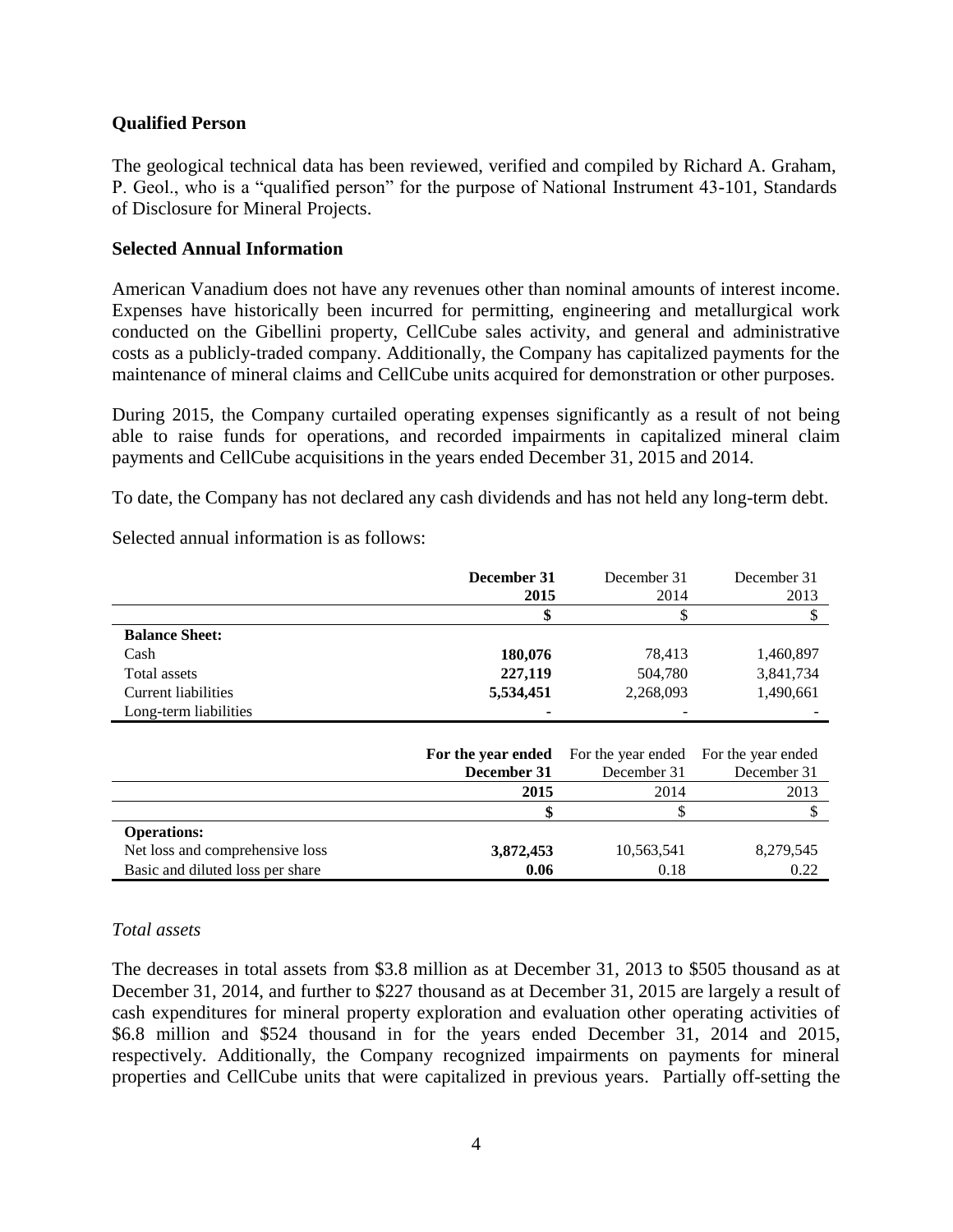#### **Qualified Person**

The geological technical data has been reviewed, verified and compiled by Richard A. Graham, P. Geol., who is a "qualified person" for the purpose of National Instrument 43-101, Standards of Disclosure for Mineral Projects.

#### **Selected Annual Information**

American Vanadium does not have any revenues other than nominal amounts of interest income. Expenses have historically been incurred for permitting, engineering and metallurgical work conducted on the Gibellini property, CellCube sales activity, and general and administrative costs as a publicly-traded company. Additionally, the Company has capitalized payments for the maintenance of mineral claims and CellCube units acquired for demonstration or other purposes.

During 2015, the Company curtailed operating expenses significantly as a result of not being able to raise funds for operations, and recorded impairments in capitalized mineral claim payments and CellCube acquisitions in the years ended December 31, 2015 and 2014.

To date, the Company has not declared any cash dividends and has not held any long-term debt.

Selected annual information is as follows:

|                            | December 31        | December 31        | December 31        |
|----------------------------|--------------------|--------------------|--------------------|
|                            | 2015               | 2014               | 2013               |
|                            |                    | \$                 | D                  |
| <b>Balance Sheet:</b>      |                    |                    |                    |
| Cash                       | 180,076            | 78,413             | 1,460,897          |
| Total assets               | 227,119            | 504,780            | 3,841,734          |
| <b>Current liabilities</b> | 5,534,451          | 2,268,093          | 1,490,661          |
| Long-term liabilities      |                    |                    |                    |
|                            |                    |                    |                    |
|                            | For the year ended | For the year ended | For the year ended |
|                            | December 31        | December 31        | December 31        |
|                            | 2015               | 2014               | 2013               |
|                            |                    |                    |                    |

Net loss and comprehensive loss **3,872,453** 10,563,541 8,279,545 Basic and diluted loss per share **0.06** 0.18 0.22

#### *Total assets*

**Operations:**

The decreases in total assets from \$3.8 million as at December 31, 2013 to \$505 thousand as at December 31, 2014, and further to \$227 thousand as at December 31, 2015 are largely a result of cash expenditures for mineral property exploration and evaluation other operating activities of \$6.8 million and \$524 thousand in for the years ended December 31, 2014 and 2015, respectively. Additionally, the Company recognized impairments on payments for mineral properties and CellCube units that were capitalized in previous years. Partially off-setting the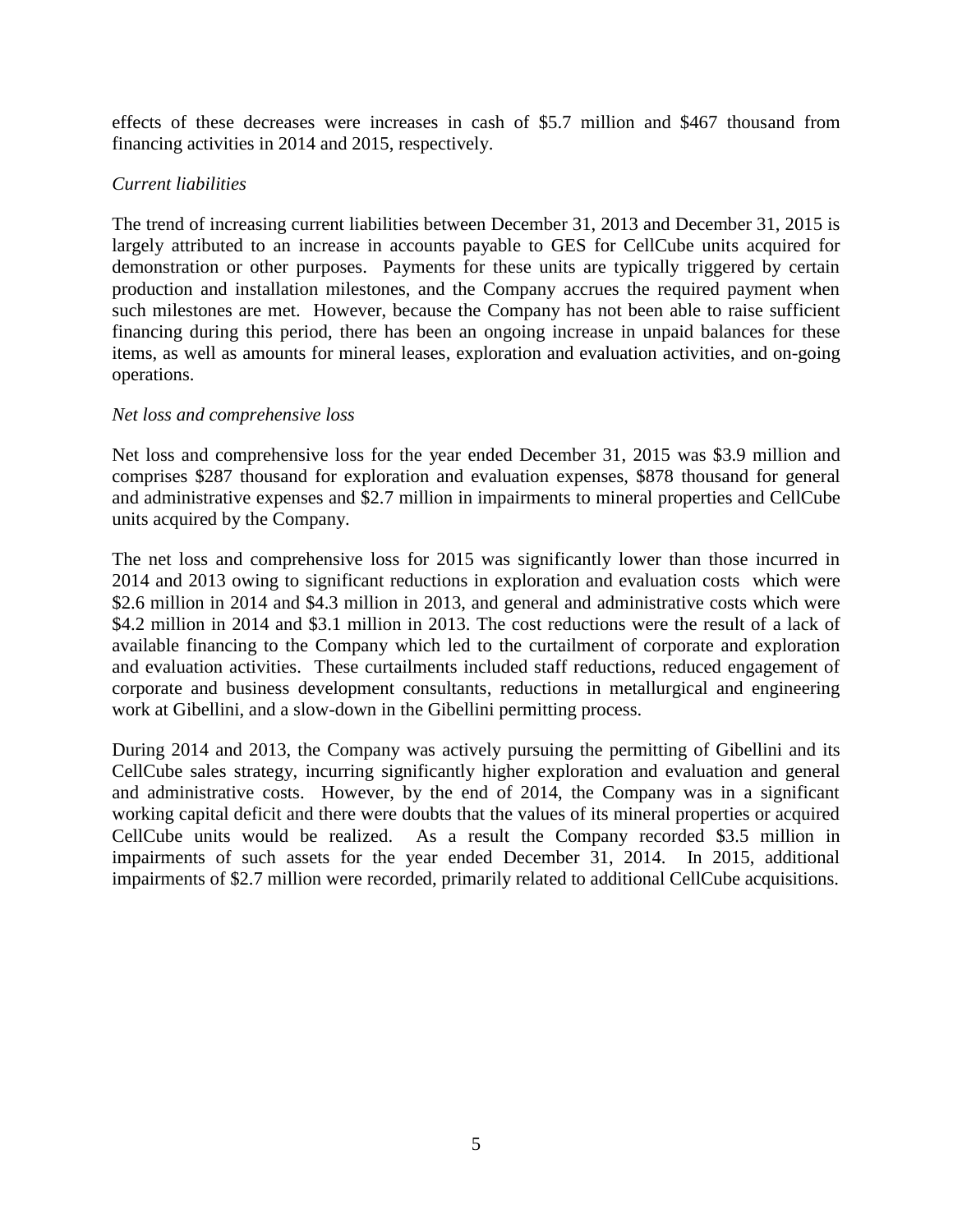effects of these decreases were increases in cash of \$5.7 million and \$467 thousand from financing activities in 2014 and 2015, respectively.

#### *Current liabilities*

The trend of increasing current liabilities between December 31, 2013 and December 31, 2015 is largely attributed to an increase in accounts payable to GES for CellCube units acquired for demonstration or other purposes. Payments for these units are typically triggered by certain production and installation milestones, and the Company accrues the required payment when such milestones are met. However, because the Company has not been able to raise sufficient financing during this period, there has been an ongoing increase in unpaid balances for these items, as well as amounts for mineral leases, exploration and evaluation activities, and on-going operations.

#### *Net loss and comprehensive loss*

Net loss and comprehensive loss for the year ended December 31, 2015 was \$3.9 million and comprises \$287 thousand for exploration and evaluation expenses, \$878 thousand for general and administrative expenses and \$2.7 million in impairments to mineral properties and CellCube units acquired by the Company.

The net loss and comprehensive loss for 2015 was significantly lower than those incurred in 2014 and 2013 owing to significant reductions in exploration and evaluation costs which were \$2.6 million in 2014 and \$4.3 million in 2013, and general and administrative costs which were \$4.2 million in 2014 and \$3.1 million in 2013. The cost reductions were the result of a lack of available financing to the Company which led to the curtailment of corporate and exploration and evaluation activities. These curtailments included staff reductions, reduced engagement of corporate and business development consultants, reductions in metallurgical and engineering work at Gibellini, and a slow-down in the Gibellini permitting process.

During 2014 and 2013, the Company was actively pursuing the permitting of Gibellini and its CellCube sales strategy, incurring significantly higher exploration and evaluation and general and administrative costs. However, by the end of 2014, the Company was in a significant working capital deficit and there were doubts that the values of its mineral properties or acquired CellCube units would be realized. As a result the Company recorded \$3.5 million in impairments of such assets for the year ended December 31, 2014. In 2015, additional impairments of \$2.7 million were recorded, primarily related to additional CellCube acquisitions.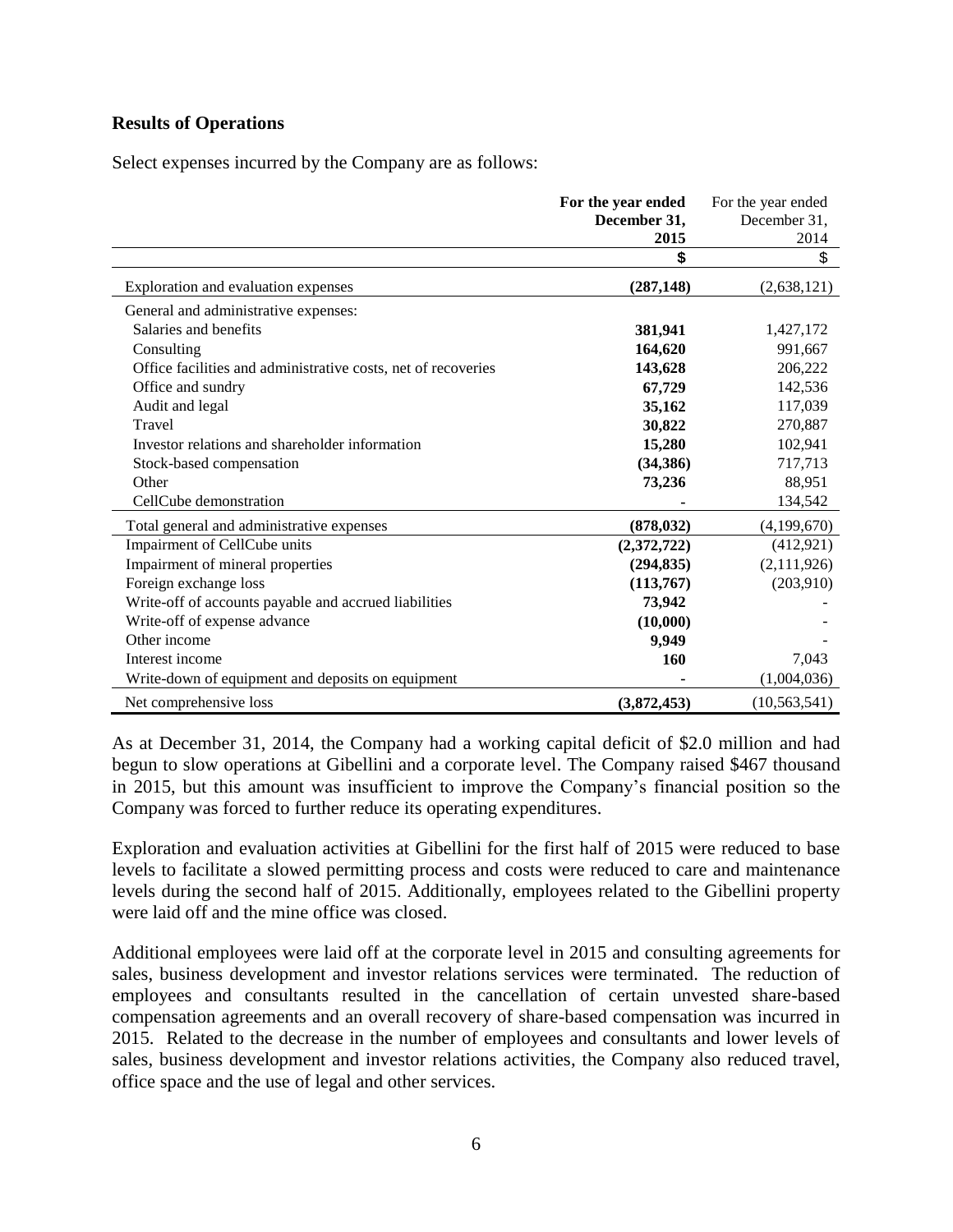#### **Results of Operations**

Select expenses incurred by the Company are as follows:

|                                                               | For the year ended<br>December 31, | For the year ended<br>December 31, |
|---------------------------------------------------------------|------------------------------------|------------------------------------|
|                                                               | 2015                               | 2014                               |
|                                                               | \$                                 | \$                                 |
| Exploration and evaluation expenses                           | (287, 148)                         | (2,638,121)                        |
| General and administrative expenses:                          |                                    |                                    |
| Salaries and benefits                                         | 381,941                            | 1,427,172                          |
| Consulting                                                    | 164,620                            | 991,667                            |
| Office facilities and administrative costs, net of recoveries | 143,628                            | 206,222                            |
| Office and sundry                                             | 67,729                             | 142,536                            |
| Audit and legal                                               | 35,162                             | 117,039                            |
| Travel                                                        | 30,822                             | 270,887                            |
| Investor relations and shareholder information                | 15,280                             | 102,941                            |
| Stock-based compensation                                      | (34, 386)                          | 717,713                            |
| Other                                                         | 73,236                             | 88,951                             |
| CellCube demonstration                                        |                                    | 134,542                            |
| Total general and administrative expenses                     | (878, 032)                         | (4,199,670)                        |
| Impairment of CellCube units                                  | (2,372,722)                        | (412, 921)                         |
| Impairment of mineral properties                              | (294, 835)                         | (2,111,926)                        |
| Foreign exchange loss                                         | (113,767)                          | (203,910)                          |
| Write-off of accounts payable and accrued liabilities         | 73,942                             |                                    |
| Write-off of expense advance                                  | (10,000)                           |                                    |
| Other income                                                  | 9,949                              |                                    |
| Interest income                                               | 160                                | 7,043                              |
| Write-down of equipment and deposits on equipment             |                                    | (1,004,036)                        |
| Net comprehensive loss                                        | (3,872,453)                        | (10, 563, 541)                     |

As at December 31, 2014, the Company had a working capital deficit of \$2.0 million and had begun to slow operations at Gibellini and a corporate level. The Company raised \$467 thousand in 2015, but this amount was insufficient to improve the Company's financial position so the Company was forced to further reduce its operating expenditures.

Exploration and evaluation activities at Gibellini for the first half of 2015 were reduced to base levels to facilitate a slowed permitting process and costs were reduced to care and maintenance levels during the second half of 2015. Additionally, employees related to the Gibellini property were laid off and the mine office was closed.

Additional employees were laid off at the corporate level in 2015 and consulting agreements for sales, business development and investor relations services were terminated. The reduction of employees and consultants resulted in the cancellation of certain unvested share-based compensation agreements and an overall recovery of share-based compensation was incurred in 2015. Related to the decrease in the number of employees and consultants and lower levels of sales, business development and investor relations activities, the Company also reduced travel, office space and the use of legal and other services.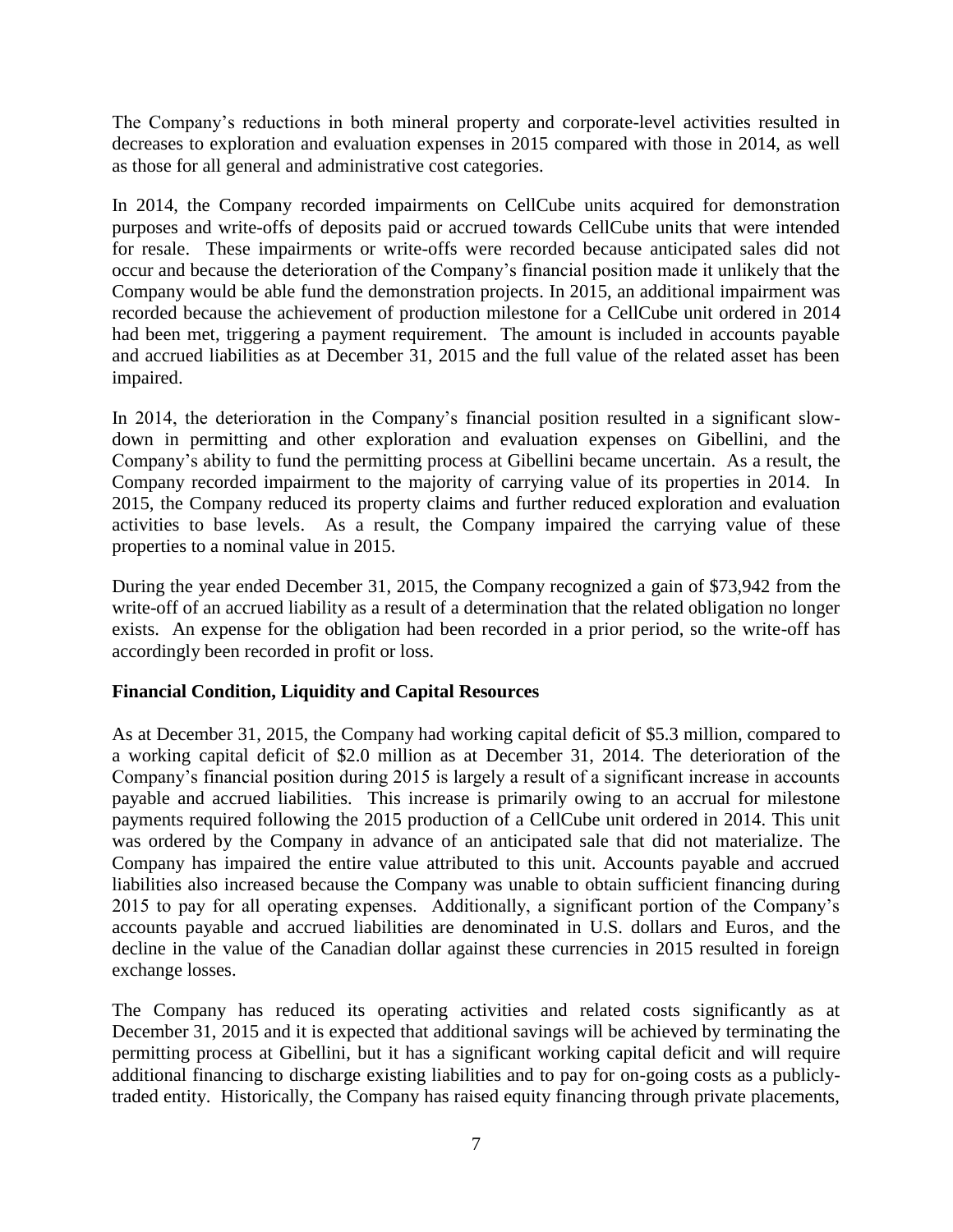The Company's reductions in both mineral property and corporate-level activities resulted in decreases to exploration and evaluation expenses in 2015 compared with those in 2014, as well as those for all general and administrative cost categories.

In 2014, the Company recorded impairments on CellCube units acquired for demonstration purposes and write-offs of deposits paid or accrued towards CellCube units that were intended for resale. These impairments or write-offs were recorded because anticipated sales did not occur and because the deterioration of the Company's financial position made it unlikely that the Company would be able fund the demonstration projects. In 2015, an additional impairment was recorded because the achievement of production milestone for a CellCube unit ordered in 2014 had been met, triggering a payment requirement. The amount is included in accounts payable and accrued liabilities as at December 31, 2015 and the full value of the related asset has been impaired.

In 2014, the deterioration in the Company's financial position resulted in a significant slowdown in permitting and other exploration and evaluation expenses on Gibellini, and the Company's ability to fund the permitting process at Gibellini became uncertain. As a result, the Company recorded impairment to the majority of carrying value of its properties in 2014. In 2015, the Company reduced its property claims and further reduced exploration and evaluation activities to base levels. As a result, the Company impaired the carrying value of these properties to a nominal value in 2015.

During the year ended December 31, 2015, the Company recognized a gain of \$73,942 from the write-off of an accrued liability as a result of a determination that the related obligation no longer exists. An expense for the obligation had been recorded in a prior period, so the write-off has accordingly been recorded in profit or loss.

## **Financial Condition, Liquidity and Capital Resources**

As at December 31, 2015, the Company had working capital deficit of \$5.3 million, compared to a working capital deficit of \$2.0 million as at December 31, 2014. The deterioration of the Company's financial position during 2015 is largely a result of a significant increase in accounts payable and accrued liabilities. This increase is primarily owing to an accrual for milestone payments required following the 2015 production of a CellCube unit ordered in 2014. This unit was ordered by the Company in advance of an anticipated sale that did not materialize. The Company has impaired the entire value attributed to this unit. Accounts payable and accrued liabilities also increased because the Company was unable to obtain sufficient financing during 2015 to pay for all operating expenses. Additionally, a significant portion of the Company's accounts payable and accrued liabilities are denominated in U.S. dollars and Euros, and the decline in the value of the Canadian dollar against these currencies in 2015 resulted in foreign exchange losses.

The Company has reduced its operating activities and related costs significantly as at December 31, 2015 and it is expected that additional savings will be achieved by terminating the permitting process at Gibellini, but it has a significant working capital deficit and will require additional financing to discharge existing liabilities and to pay for on-going costs as a publiclytraded entity. Historically, the Company has raised equity financing through private placements,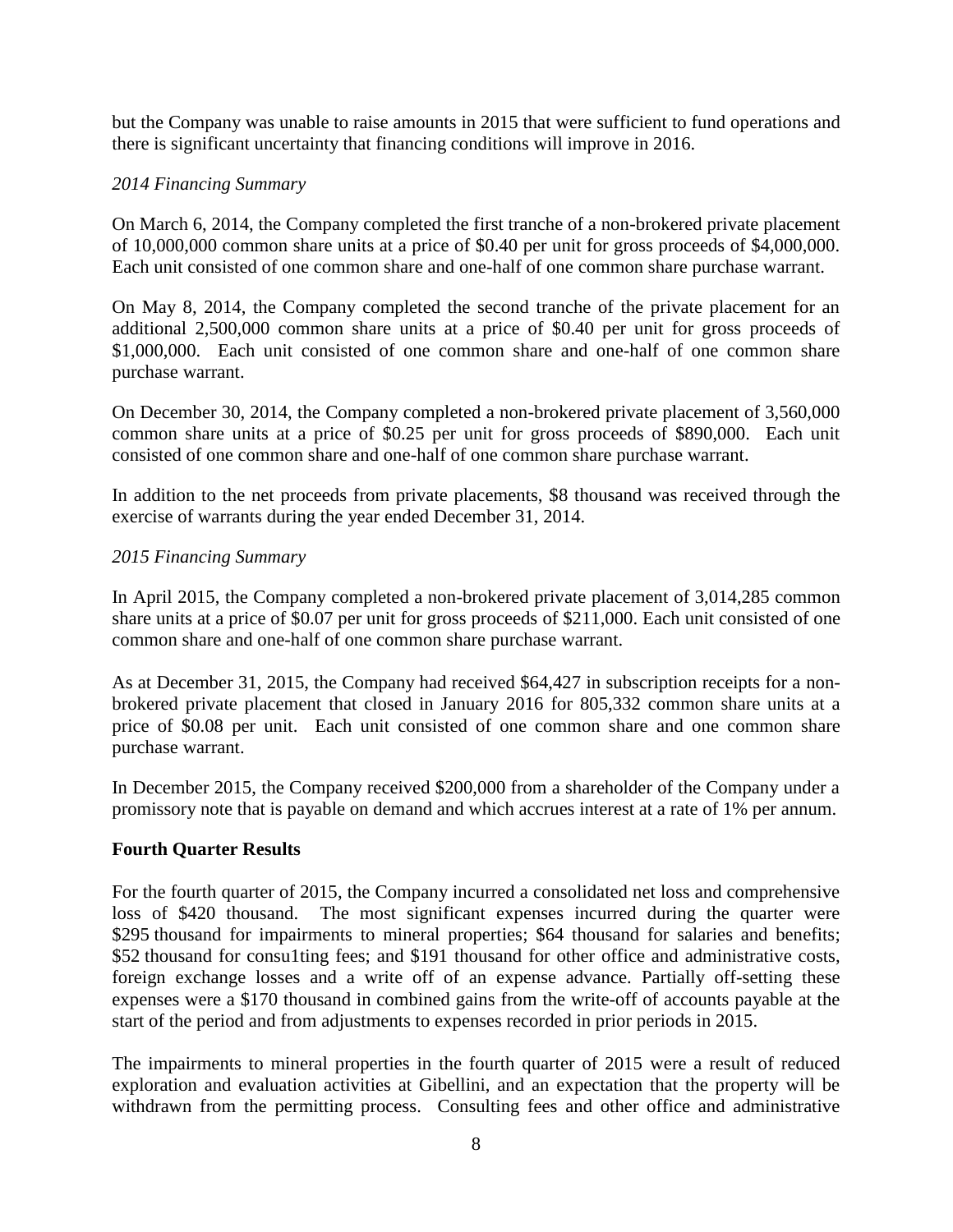but the Company was unable to raise amounts in 2015 that were sufficient to fund operations and there is significant uncertainty that financing conditions will improve in 2016.

#### *2014 Financing Summary*

On March 6, 2014, the Company completed the first tranche of a non-brokered private placement of 10,000,000 common share units at a price of \$0.40 per unit for gross proceeds of \$4,000,000. Each unit consisted of one common share and one-half of one common share purchase warrant.

On May 8, 2014, the Company completed the second tranche of the private placement for an additional 2,500,000 common share units at a price of \$0.40 per unit for gross proceeds of \$1,000,000. Each unit consisted of one common share and one-half of one common share purchase warrant.

On December 30, 2014, the Company completed a non-brokered private placement of 3,560,000 common share units at a price of \$0.25 per unit for gross proceeds of \$890,000. Each unit consisted of one common share and one-half of one common share purchase warrant.

In addition to the net proceeds from private placements, \$8 thousand was received through the exercise of warrants during the year ended December 31, 2014.

#### *2015 Financing Summary*

In April 2015, the Company completed a non-brokered private placement of 3,014,285 common share units at a price of \$0.07 per unit for gross proceeds of \$211,000. Each unit consisted of one common share and one-half of one common share purchase warrant.

As at December 31, 2015, the Company had received \$64,427 in subscription receipts for a nonbrokered private placement that closed in January 2016 for 805,332 common share units at a price of \$0.08 per unit. Each unit consisted of one common share and one common share purchase warrant.

In December 2015, the Company received \$200,000 from a shareholder of the Company under a promissory note that is payable on demand and which accrues interest at a rate of 1% per annum.

#### **Fourth Quarter Results**

For the fourth quarter of 2015, the Company incurred a consolidated net loss and comprehensive loss of \$420 thousand. The most significant expenses incurred during the quarter were \$295 thousand for impairments to mineral properties; \$64 thousand for salaries and benefits; \$52 thousand for consulting fees; and \$191 thousand for other office and administrative costs, foreign exchange losses and a write off of an expense advance. Partially off-setting these expenses were a \$170 thousand in combined gains from the write-off of accounts payable at the start of the period and from adjustments to expenses recorded in prior periods in 2015.

The impairments to mineral properties in the fourth quarter of 2015 were a result of reduced exploration and evaluation activities at Gibellini, and an expectation that the property will be withdrawn from the permitting process. Consulting fees and other office and administrative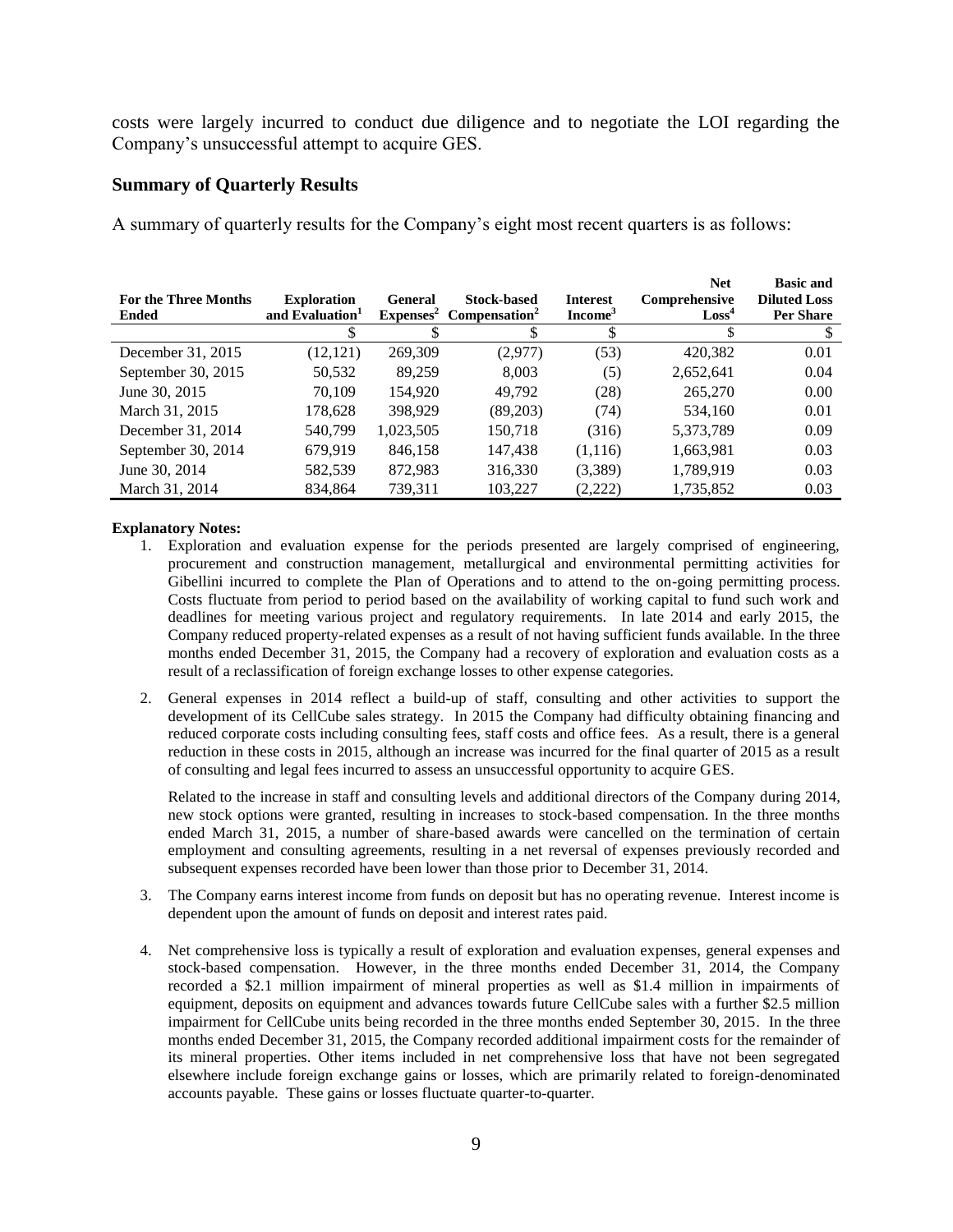costs were largely incurred to conduct due diligence and to negotiate the LOI regarding the Company's unsuccessful attempt to acquire GES.

#### **Summary of Quarterly Results**

A summary of quarterly results for the Company's eight most recent quarters is as follows:

| <b>For the Three Months</b><br><b>Ended</b> | <b>Exploration</b><br>and Evaluation <sup>1</sup> | <b>General</b><br>$Expenses^2$ | <b>Stock-based</b><br>Compensation <sup>2</sup> | <b>Interest</b><br>Income <sup>3</sup> | <b>Net</b><br>Comprehensive<br>Loss <sup>4</sup> | <b>Basic and</b><br><b>Diluted Loss</b><br><b>Per Share</b> |
|---------------------------------------------|---------------------------------------------------|--------------------------------|-------------------------------------------------|----------------------------------------|--------------------------------------------------|-------------------------------------------------------------|
|                                             | S                                                 |                                |                                                 |                                        |                                                  |                                                             |
| December 31, 2015                           | (12, 121)                                         | 269,309                        | (2,977)                                         | (53)                                   | 420,382                                          | 0.01                                                        |
| September 30, 2015                          | 50,532                                            | 89.259                         | 8.003                                           | (5)                                    | 2,652,641                                        | 0.04                                                        |
| June 30, 2015                               | 70.109                                            | 154.920                        | 49.792                                          | (28)                                   | 265,270                                          | 0.00                                                        |
| March 31, 2015                              | 178,628                                           | 398.929                        | (89,203)                                        | (74)                                   | 534,160                                          | 0.01                                                        |
| December 31, 2014                           | 540,799                                           | 1,023,505                      | 150,718                                         | (316)                                  | 5,373,789                                        | 0.09                                                        |
| September 30, 2014                          | 679.919                                           | 846,158                        | 147,438                                         | (1,116)                                | 1,663,981                                        | 0.03                                                        |
| June 30, 2014                               | 582,539                                           | 872.983                        | 316,330                                         | (3,389)                                | 1,789,919                                        | 0.03                                                        |
| March 31, 2014                              | 834,864                                           | 739,311                        | 103,227                                         | (2,222)                                | 1,735,852                                        | 0.03                                                        |

#### **Explanatory Notes:**

- 1. Exploration and evaluation expense for the periods presented are largely comprised of engineering, procurement and construction management, metallurgical and environmental permitting activities for Gibellini incurred to complete the Plan of Operations and to attend to the on-going permitting process. Costs fluctuate from period to period based on the availability of working capital to fund such work and deadlines for meeting various project and regulatory requirements. In late 2014 and early 2015, the Company reduced property-related expenses as a result of not having sufficient funds available. In the three months ended December 31, 2015, the Company had a recovery of exploration and evaluation costs as a result of a reclassification of foreign exchange losses to other expense categories.
- 2. General expenses in 2014 reflect a build-up of staff, consulting and other activities to support the development of its CellCube sales strategy. In 2015 the Company had difficulty obtaining financing and reduced corporate costs including consulting fees, staff costs and office fees. As a result, there is a general reduction in these costs in 2015, although an increase was incurred for the final quarter of 2015 as a result of consulting and legal fees incurred to assess an unsuccessful opportunity to acquire GES.

Related to the increase in staff and consulting levels and additional directors of the Company during 2014, new stock options were granted, resulting in increases to stock-based compensation. In the three months ended March 31, 2015, a number of share-based awards were cancelled on the termination of certain employment and consulting agreements, resulting in a net reversal of expenses previously recorded and subsequent expenses recorded have been lower than those prior to December 31, 2014.

- 3. The Company earns interest income from funds on deposit but has no operating revenue. Interest income is dependent upon the amount of funds on deposit and interest rates paid.
- 4. Net comprehensive loss is typically a result of exploration and evaluation expenses, general expenses and stock-based compensation. However, in the three months ended December 31, 2014, the Company recorded a \$2.1 million impairment of mineral properties as well as \$1.4 million in impairments of equipment, deposits on equipment and advances towards future CellCube sales with a further \$2.5 million impairment for CellCube units being recorded in the three months ended September 30, 2015. In the three months ended December 31, 2015, the Company recorded additional impairment costs for the remainder of its mineral properties. Other items included in net comprehensive loss that have not been segregated elsewhere include foreign exchange gains or losses, which are primarily related to foreign-denominated accounts payable. These gains or losses fluctuate quarter-to-quarter.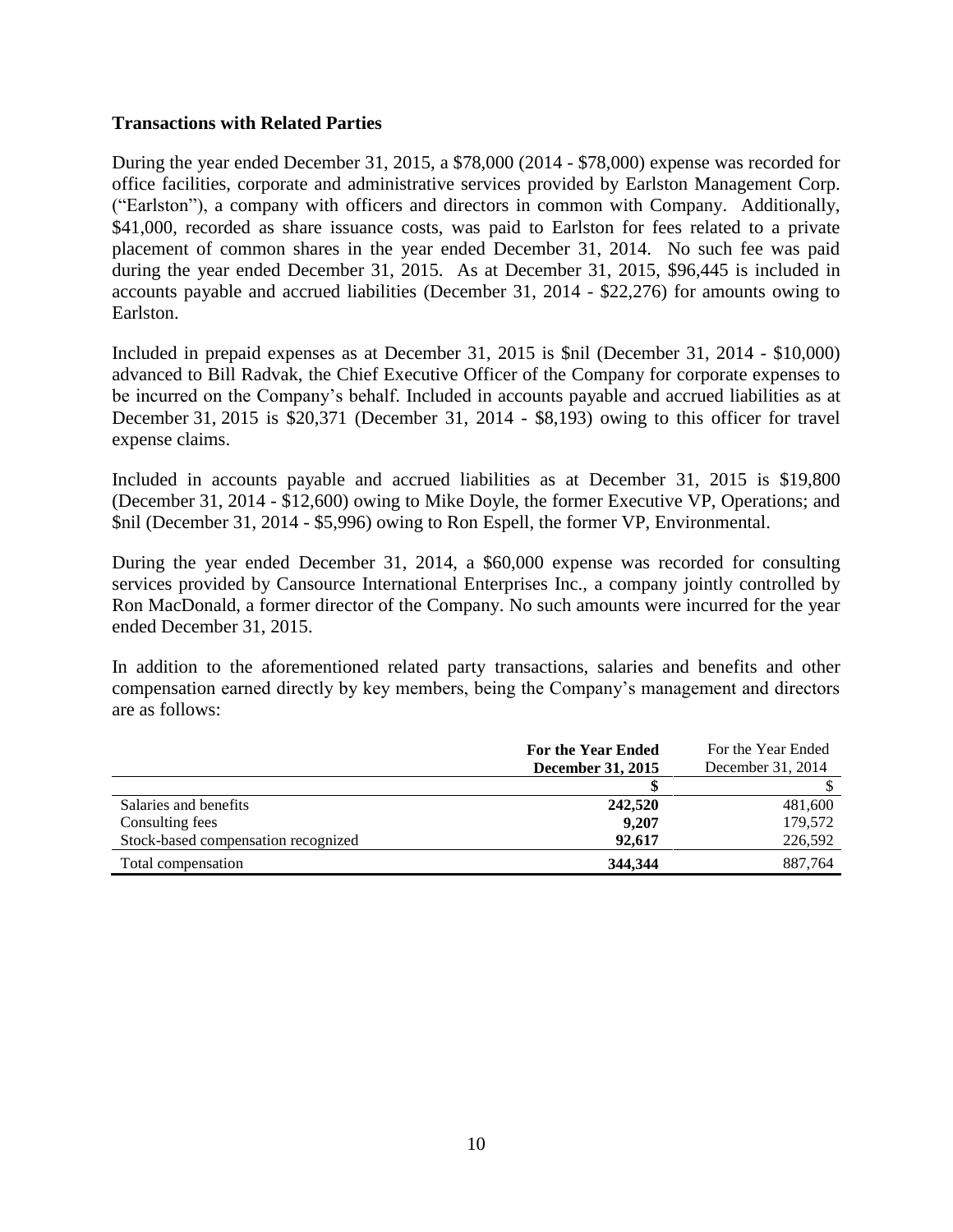#### **Transactions with Related Parties**

During the year ended December 31, 2015, a \$78,000 (2014 - \$78,000) expense was recorded for office facilities, corporate and administrative services provided by Earlston Management Corp. ("Earlston"), a company with officers and directors in common with Company. Additionally, \$41,000, recorded as share issuance costs, was paid to Earlston for fees related to a private placement of common shares in the year ended December 31, 2014. No such fee was paid during the year ended December 31, 2015. As at December 31, 2015, \$96,445 is included in accounts payable and accrued liabilities (December 31, 2014 - \$22,276) for amounts owing to Earlston.

Included in prepaid expenses as at December 31, 2015 is \$nil (December 31, 2014 - \$10,000) advanced to Bill Radvak, the Chief Executive Officer of the Company for corporate expenses to be incurred on the Company's behalf. Included in accounts payable and accrued liabilities as at December 31, 2015 is \$20,371 (December 31, 2014 - \$8,193) owing to this officer for travel expense claims.

Included in accounts payable and accrued liabilities as at December 31, 2015 is \$19,800 (December 31, 2014 - \$12,600) owing to Mike Doyle, the former Executive VP, Operations; and \$nil (December 31, 2014 - \$5,996) owing to Ron Espell, the former VP, Environmental.

During the year ended December 31, 2014, a \$60,000 expense was recorded for consulting services provided by Cansource International Enterprises Inc., a company jointly controlled by Ron MacDonald, a former director of the Company. No such amounts were incurred for the year ended December 31, 2015.

In addition to the aforementioned related party transactions, salaries and benefits and other compensation earned directly by key members, being the Company's management and directors are as follows:

|                                     | <b>For the Year Ended</b><br>December 31, 2015 | For the Year Ended<br>December 31, 2014 |
|-------------------------------------|------------------------------------------------|-----------------------------------------|
|                                     |                                                |                                         |
| Salaries and benefits               | 242,520                                        | 481,600                                 |
| Consulting fees                     | 9.207                                          | 179.572                                 |
| Stock-based compensation recognized | 92,617                                         | 226,592                                 |
| Total compensation                  | 344,344                                        | 887.764                                 |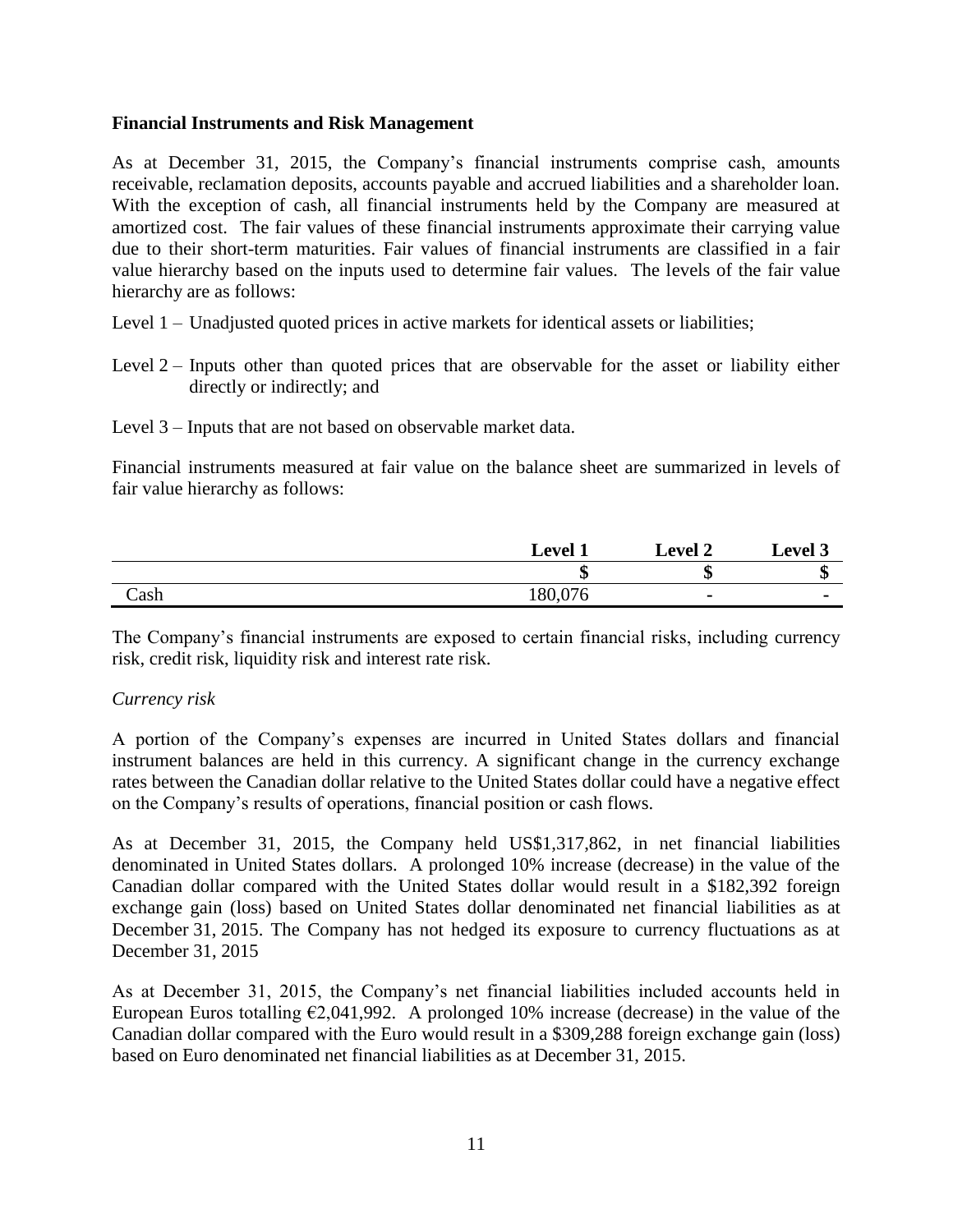#### **Financial Instruments and Risk Management**

As at December 31, 2015, the Company's financial instruments comprise cash, amounts receivable, reclamation deposits, accounts payable and accrued liabilities and a shareholder loan. With the exception of cash, all financial instruments held by the Company are measured at amortized cost. The fair values of these financial instruments approximate their carrying value due to their short-term maturities. Fair values of financial instruments are classified in a fair value hierarchy based on the inputs used to determine fair values. The levels of the fair value hierarchy are as follows:

- Level 1 Unadjusted quoted prices in active markets for identical assets or liabilities;
- Level 2 Inputs other than quoted prices that are observable for the asset or liability either directly or indirectly; and

Level 3 – Inputs that are not based on observable market data.

Financial instruments measured at fair value on the balance sheet are summarized in levels of fair value hierarchy as follows:

|      | <b>Level 1</b> | <b>Level 2</b> | Level 3 |
|------|----------------|----------------|---------|
|      | ጦ<br>۱D        | ۱D             | w       |
| Cash | 180,076        | $\blacksquare$ |         |

The Company's financial instruments are exposed to certain financial risks, including currency risk, credit risk, liquidity risk and interest rate risk.

#### *Currency risk*

A portion of the Company's expenses are incurred in United States dollars and financial instrument balances are held in this currency. A significant change in the currency exchange rates between the Canadian dollar relative to the United States dollar could have a negative effect on the Company's results of operations, financial position or cash flows.

As at December 31, 2015, the Company held US\$1,317,862, in net financial liabilities denominated in United States dollars. A prolonged 10% increase (decrease) in the value of the Canadian dollar compared with the United States dollar would result in a \$182,392 foreign exchange gain (loss) based on United States dollar denominated net financial liabilities as at December 31, 2015. The Company has not hedged its exposure to currency fluctuations as at December 31, 2015

As at December 31, 2015, the Company's net financial liabilities included accounts held in European Euros totalling  $\epsilon$ 2,041,992. A prolonged 10% increase (decrease) in the value of the Canadian dollar compared with the Euro would result in a \$309,288 foreign exchange gain (loss) based on Euro denominated net financial liabilities as at December 31, 2015.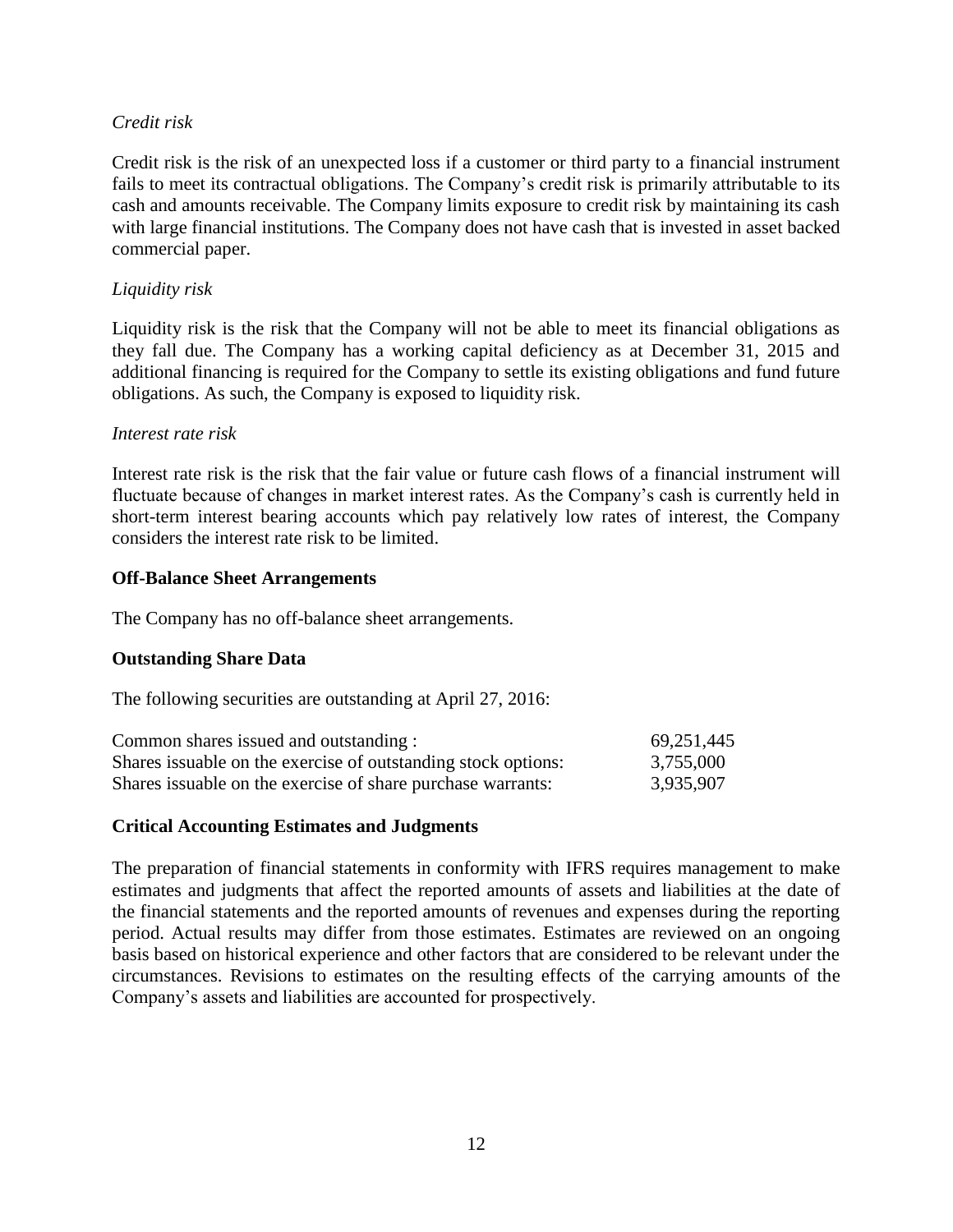#### *Credit risk*

Credit risk is the risk of an unexpected loss if a customer or third party to a financial instrument fails to meet its contractual obligations. The Company's credit risk is primarily attributable to its cash and amounts receivable. The Company limits exposure to credit risk by maintaining its cash with large financial institutions. The Company does not have cash that is invested in asset backed commercial paper.

#### *Liquidity risk*

Liquidity risk is the risk that the Company will not be able to meet its financial obligations as they fall due. The Company has a working capital deficiency as at December 31, 2015 and additional financing is required for the Company to settle its existing obligations and fund future obligations. As such, the Company is exposed to liquidity risk.

#### *Interest rate risk*

Interest rate risk is the risk that the fair value or future cash flows of a financial instrument will fluctuate because of changes in market interest rates. As the Company's cash is currently held in short-term interest bearing accounts which pay relatively low rates of interest, the Company considers the interest rate risk to be limited.

#### **Off-Balance Sheet Arrangements**

The Company has no off-balance sheet arrangements.

#### **Outstanding Share Data**

The following securities are outstanding at April 27, 2016:

| Common shares issued and outstanding :                         | 69,251,445 |
|----------------------------------------------------------------|------------|
| Shares is suable on the exercise of outstanding stock options: | 3,755,000  |
| Shares is suable on the exercise of share purchase warrants:   | 3,935,907  |

#### **Critical Accounting Estimates and Judgments**

The preparation of financial statements in conformity with IFRS requires management to make estimates and judgments that affect the reported amounts of assets and liabilities at the date of the financial statements and the reported amounts of revenues and expenses during the reporting period. Actual results may differ from those estimates. Estimates are reviewed on an ongoing basis based on historical experience and other factors that are considered to be relevant under the circumstances. Revisions to estimates on the resulting effects of the carrying amounts of the Company's assets and liabilities are accounted for prospectively.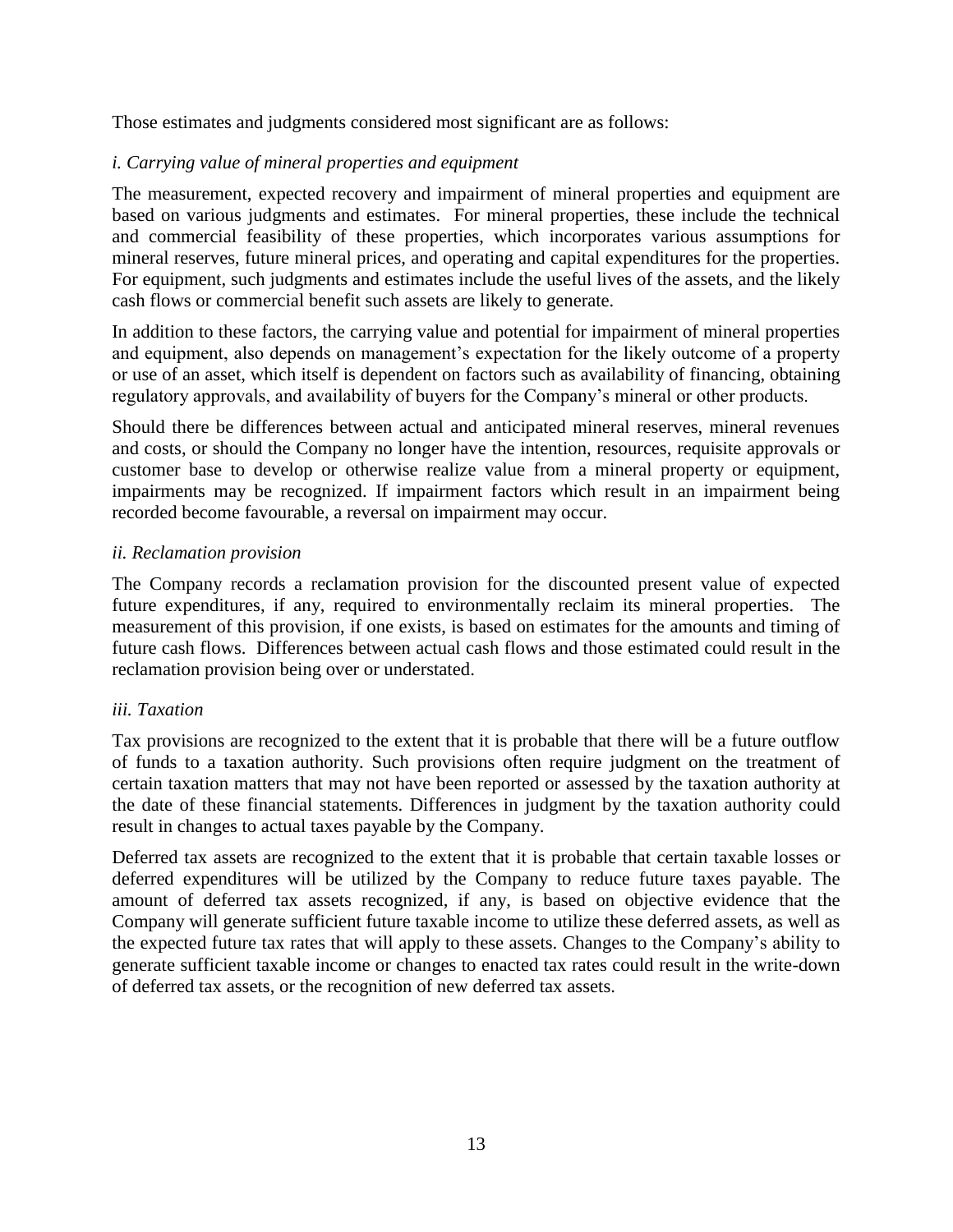Those estimates and judgments considered most significant are as follows:

## *i. Carrying value of mineral properties and equipment*

The measurement, expected recovery and impairment of mineral properties and equipment are based on various judgments and estimates. For mineral properties, these include the technical and commercial feasibility of these properties, which incorporates various assumptions for mineral reserves, future mineral prices, and operating and capital expenditures for the properties. For equipment, such judgments and estimates include the useful lives of the assets, and the likely cash flows or commercial benefit such assets are likely to generate.

In addition to these factors, the carrying value and potential for impairment of mineral properties and equipment, also depends on management's expectation for the likely outcome of a property or use of an asset, which itself is dependent on factors such as availability of financing, obtaining regulatory approvals, and availability of buyers for the Company's mineral or other products.

Should there be differences between actual and anticipated mineral reserves, mineral revenues and costs, or should the Company no longer have the intention, resources, requisite approvals or customer base to develop or otherwise realize value from a mineral property or equipment, impairments may be recognized. If impairment factors which result in an impairment being recorded become favourable, a reversal on impairment may occur.

## *ii. Reclamation provision*

The Company records a reclamation provision for the discounted present value of expected future expenditures, if any, required to environmentally reclaim its mineral properties. The measurement of this provision, if one exists, is based on estimates for the amounts and timing of future cash flows. Differences between actual cash flows and those estimated could result in the reclamation provision being over or understated.

## *iii. Taxation*

Tax provisions are recognized to the extent that it is probable that there will be a future outflow of funds to a taxation authority. Such provisions often require judgment on the treatment of certain taxation matters that may not have been reported or assessed by the taxation authority at the date of these financial statements. Differences in judgment by the taxation authority could result in changes to actual taxes payable by the Company.

Deferred tax assets are recognized to the extent that it is probable that certain taxable losses or deferred expenditures will be utilized by the Company to reduce future taxes payable. The amount of deferred tax assets recognized, if any, is based on objective evidence that the Company will generate sufficient future taxable income to utilize these deferred assets, as well as the expected future tax rates that will apply to these assets. Changes to the Company's ability to generate sufficient taxable income or changes to enacted tax rates could result in the write-down of deferred tax assets, or the recognition of new deferred tax assets.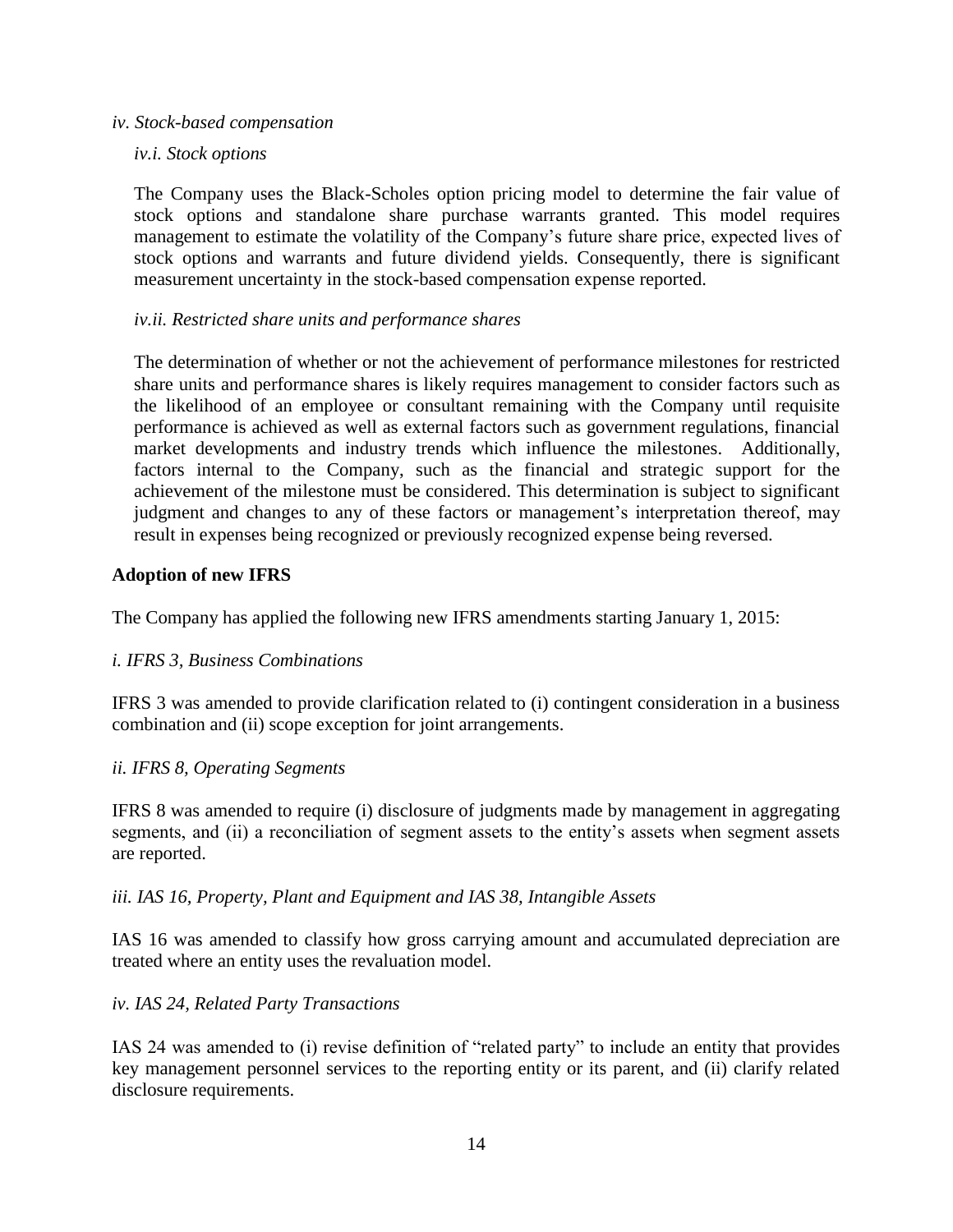#### *iv. Stock-based compensation*

*iv.i. Stock options*

The Company uses the Black-Scholes option pricing model to determine the fair value of stock options and standalone share purchase warrants granted. This model requires management to estimate the volatility of the Company's future share price, expected lives of stock options and warrants and future dividend yields. Consequently, there is significant measurement uncertainty in the stock-based compensation expense reported.

#### *iv.ii. Restricted share units and performance shares*

The determination of whether or not the achievement of performance milestones for restricted share units and performance shares is likely requires management to consider factors such as the likelihood of an employee or consultant remaining with the Company until requisite performance is achieved as well as external factors such as government regulations, financial market developments and industry trends which influence the milestones. Additionally, factors internal to the Company, such as the financial and strategic support for the achievement of the milestone must be considered. This determination is subject to significant judgment and changes to any of these factors or management's interpretation thereof, may result in expenses being recognized or previously recognized expense being reversed.

#### **Adoption of new IFRS**

The Company has applied the following new IFRS amendments starting January 1, 2015:

#### *i. IFRS 3, Business Combinations*

IFRS 3 was amended to provide clarification related to (i) contingent consideration in a business combination and (ii) scope exception for joint arrangements.

#### *ii. IFRS 8, Operating Segments*

IFRS 8 was amended to require (i) disclosure of judgments made by management in aggregating segments, and (ii) a reconciliation of segment assets to the entity's assets when segment assets are reported.

#### *iii. IAS 16, Property, Plant and Equipment and IAS 38, Intangible Assets*

IAS 16 was amended to classify how gross carrying amount and accumulated depreciation are treated where an entity uses the revaluation model.

#### *iv. IAS 24, Related Party Transactions*

IAS 24 was amended to (i) revise definition of "related party" to include an entity that provides key management personnel services to the reporting entity or its parent, and (ii) clarify related disclosure requirements.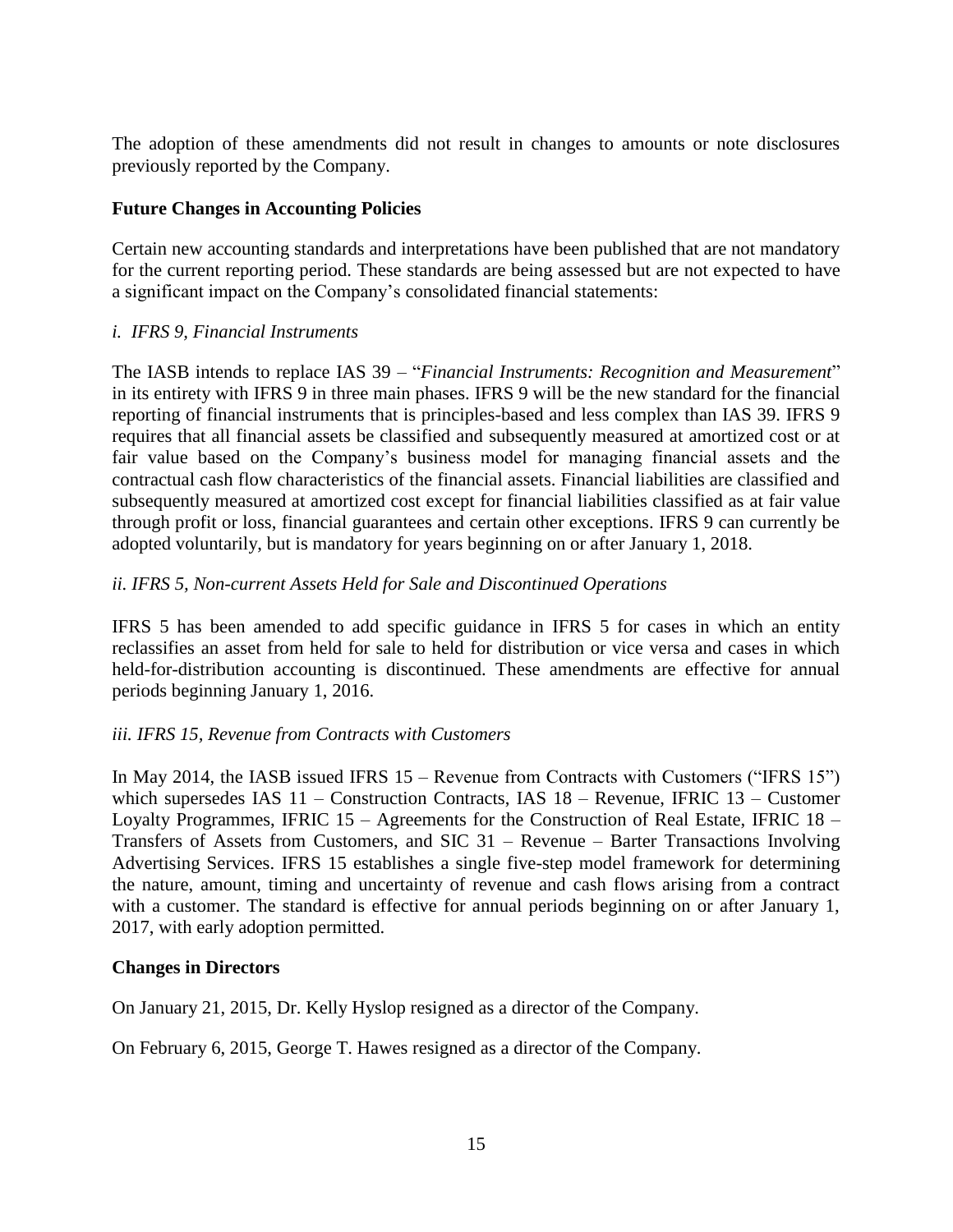The adoption of these amendments did not result in changes to amounts or note disclosures previously reported by the Company.

#### **Future Changes in Accounting Policies**

Certain new accounting standards and interpretations have been published that are not mandatory for the current reporting period. These standards are being assessed but are not expected to have a significant impact on the Company's consolidated financial statements:

#### *i. IFRS 9, Financial Instruments*

The IASB intends to replace IAS 39 – "*Financial Instruments: Recognition and Measurement*" in its entirety with IFRS 9 in three main phases. IFRS 9 will be the new standard for the financial reporting of financial instruments that is principles-based and less complex than IAS 39. IFRS 9 requires that all financial assets be classified and subsequently measured at amortized cost or at fair value based on the Company's business model for managing financial assets and the contractual cash flow characteristics of the financial assets. Financial liabilities are classified and subsequently measured at amortized cost except for financial liabilities classified as at fair value through profit or loss, financial guarantees and certain other exceptions. IFRS 9 can currently be adopted voluntarily, but is mandatory for years beginning on or after January 1, 2018.

## *ii. IFRS 5, Non-current Assets Held for Sale and Discontinued Operations*

IFRS 5 has been amended to add specific guidance in IFRS 5 for cases in which an entity reclassifies an asset from held for sale to held for distribution or vice versa and cases in which held-for-distribution accounting is discontinued. These amendments are effective for annual periods beginning January 1, 2016.

## *iii. IFRS 15, Revenue from Contracts with Customers*

In May 2014, the IASB issued IFRS 15 – Revenue from Contracts with Customers ("IFRS 15") which supersedes IAS 11 – Construction Contracts, IAS 18 – Revenue, IFRIC 13 – Customer Loyalty Programmes, IFRIC 15 – Agreements for the Construction of Real Estate, IFRIC 18 – Transfers of Assets from Customers, and SIC 31 – Revenue – Barter Transactions Involving Advertising Services. IFRS 15 establishes a single five-step model framework for determining the nature, amount, timing and uncertainty of revenue and cash flows arising from a contract with a customer. The standard is effective for annual periods beginning on or after January 1, 2017, with early adoption permitted.

#### **Changes in Directors**

On January 21, 2015, Dr. Kelly Hyslop resigned as a director of the Company.

On February 6, 2015, George T. Hawes resigned as a director of the Company.